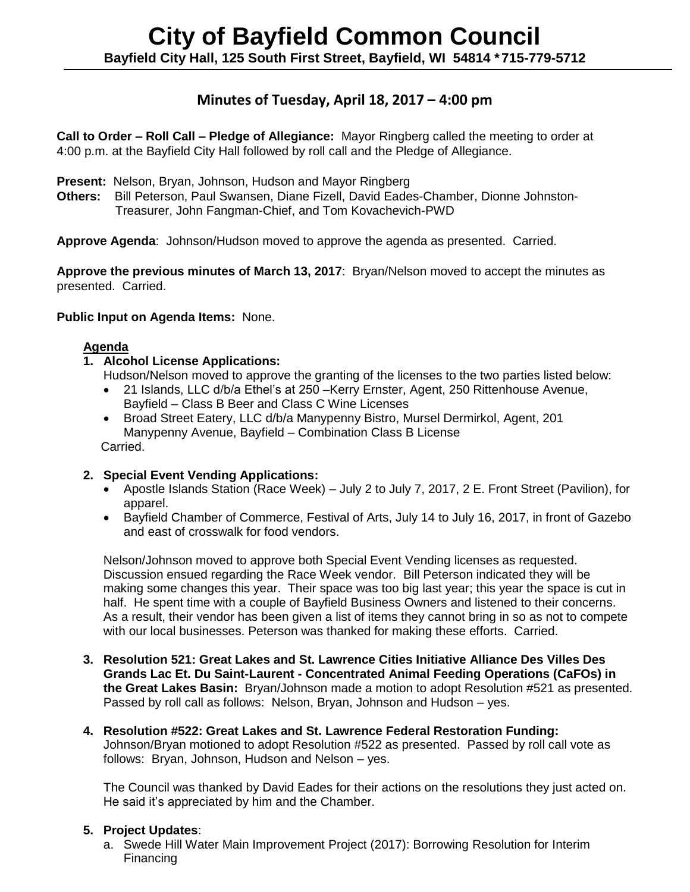# **Minutes of Tuesday, April 18, 2017 – 4:00 pm**

**Call to Order – Roll Call – Pledge of Allegiance:** Mayor Ringberg called the meeting to order at 4:00 p.m. at the Bayfield City Hall followed by roll call and the Pledge of Allegiance.

- **Present:** Nelson, Bryan, Johnson, Hudson and Mayor Ringberg
- **Others:** Bill Peterson, Paul Swansen, Diane Fizell, David Eades-Chamber, Dionne Johnston- Treasurer, John Fangman-Chief, and Tom Kovachevich-PWD

**Approve Agenda**: Johnson/Hudson moved to approve the agenda as presented. Carried.

**Approve the previous minutes of March 13, 2017**: Bryan/Nelson moved to accept the minutes as presented. Carried.

# **Public Input on Agenda Items:** None.

# **Agenda**

# **1. Alcohol License Applications:**

- Hudson/Nelson moved to approve the granting of the licenses to the two parties listed below:
	- 21 Islands, LLC d/b/a Ethel's at 250 –Kerry Ernster, Agent, 250 Rittenhouse Avenue, Bayfield – Class B Beer and Class C Wine Licenses
- Broad Street Eatery, LLC d/b/a Manypenny Bistro, Mursel Dermirkol, Agent, 201 Manypenny Avenue, Bayfield – Combination Class B License

Carried.

# **2. Special Event Vending Applications:**

- Apostle Islands Station (Race Week) July 2 to July 7, 2017, 2 E. Front Street (Pavilion), for apparel.
- Bayfield Chamber of Commerce, Festival of Arts, July 14 to July 16, 2017, in front of Gazebo and east of crosswalk for food vendors.

Nelson/Johnson moved to approve both Special Event Vending licenses as requested. Discussion ensued regarding the Race Week vendor. Bill Peterson indicated they will be making some changes this year. Their space was too big last year; this year the space is cut in half. He spent time with a couple of Bayfield Business Owners and listened to their concerns. As a result, their vendor has been given a list of items they cannot bring in so as not to compete with our local businesses. Peterson was thanked for making these efforts. Carried.

- **3. Resolution 521: Great Lakes and St. Lawrence Cities Initiative Alliance Des Villes Des Grands Lac Et. Du Saint-Laurent - Concentrated Animal Feeding Operations (CaFOs) in the Great Lakes Basin:** Bryan/Johnson made a motion to adopt Resolution #521 as presented. Passed by roll call as follows: Nelson, Bryan, Johnson and Hudson – yes.
- **4. Resolution #522: Great Lakes and St. Lawrence Federal Restoration Funding:**  Johnson/Bryan motioned to adopt Resolution #522 as presented. Passed by roll call vote as follows: Bryan, Johnson, Hudson and Nelson – yes.

The Council was thanked by David Eades for their actions on the resolutions they just acted on. He said it's appreciated by him and the Chamber.

# **5. Project Updates**:

a. Swede Hill Water Main Improvement Project (2017): Borrowing Resolution for Interim Financing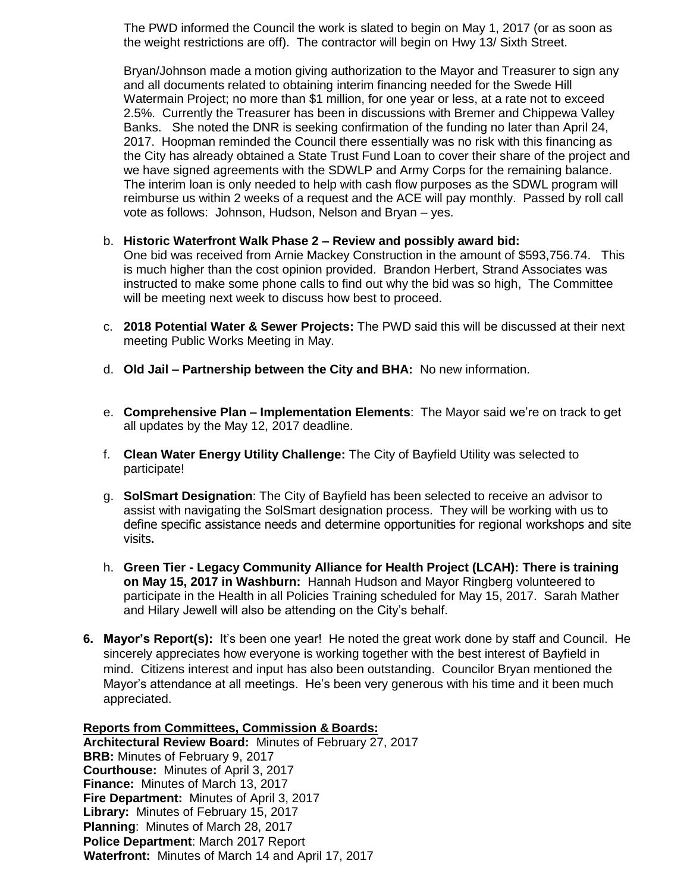The PWD informed the Council the work is slated to begin on May 1, 2017 (or as soon as the weight restrictions are off). The contractor will begin on Hwy 13/ Sixth Street.

Bryan/Johnson made a motion giving authorization to the Mayor and Treasurer to sign any and all documents related to obtaining interim financing needed for the Swede Hill Watermain Project; no more than \$1 million, for one year or less, at a rate not to exceed 2.5%. Currently the Treasurer has been in discussions with Bremer and Chippewa Valley Banks. She noted the DNR is seeking confirmation of the funding no later than April 24, 2017. Hoopman reminded the Council there essentially was no risk with this financing as the City has already obtained a State Trust Fund Loan to cover their share of the project and we have signed agreements with the SDWLP and Army Corps for the remaining balance. The interim loan is only needed to help with cash flow purposes as the SDWL program will reimburse us within 2 weeks of a request and the ACE will pay monthly. Passed by roll call vote as follows: Johnson, Hudson, Nelson and Bryan – yes.

#### b. **Historic Waterfront Walk Phase 2 – Review and possibly award bid:**

One bid was received from Arnie Mackey Construction in the amount of \$593,756.74. This is much higher than the cost opinion provided. Brandon Herbert, Strand Associates was instructed to make some phone calls to find out why the bid was so high, The Committee will be meeting next week to discuss how best to proceed.

- c. **2018 Potential Water & Sewer Projects:** The PWD said this will be discussed at their next meeting Public Works Meeting in May.
- d. **Old Jail – Partnership between the City and BHA:** No new information.
- e. **Comprehensive Plan – Implementation Elements**: The Mayor said we're on track to get all updates by the May 12, 2017 deadline.
- f. **Clean Water Energy Utility Challenge:** The City of Bayfield Utility was selected to participate!
- g. **SolSmart Designation**: The City of Bayfield has been selected to receive an advisor to assist with navigating the SolSmart designation process. They will be working with us to define specific assistance needs and determine opportunities for regional workshops and site visits.
- h. **Green Tier - Legacy Community Alliance for Health Project (LCAH): There is training on May 15, 2017 in Washburn:** Hannah Hudson and Mayor Ringberg volunteered to participate in the Health in all Policies Training scheduled for May 15, 2017. Sarah Mather and Hilary Jewell will also be attending on the City's behalf.
- **6. Mayor's Report(s):** It's been one year! He noted the great work done by staff and Council. He sincerely appreciates how everyone is working together with the best interest of Bayfield in mind. Citizens interest and input has also been outstanding. Councilor Bryan mentioned the Mayor's attendance at all meetings. He's been very generous with his time and it been much appreciated.

# **Reports from Committees, Commission & Boards:**

**Architectural Review Board:** Minutes of February 27, 2017 **BRB:** Minutes of February 9, 2017 **Courthouse:** Minutes of April 3, 2017 **Finance:** Minutes of March 13, 2017 **Fire Department:** Minutes of April 3, 2017 **Library:** Minutes of February 15, 2017 **Planning**: Minutes of March 28, 2017 **Police Department**: March 2017 Report **Waterfront:** Minutes of March 14 and April 17, 2017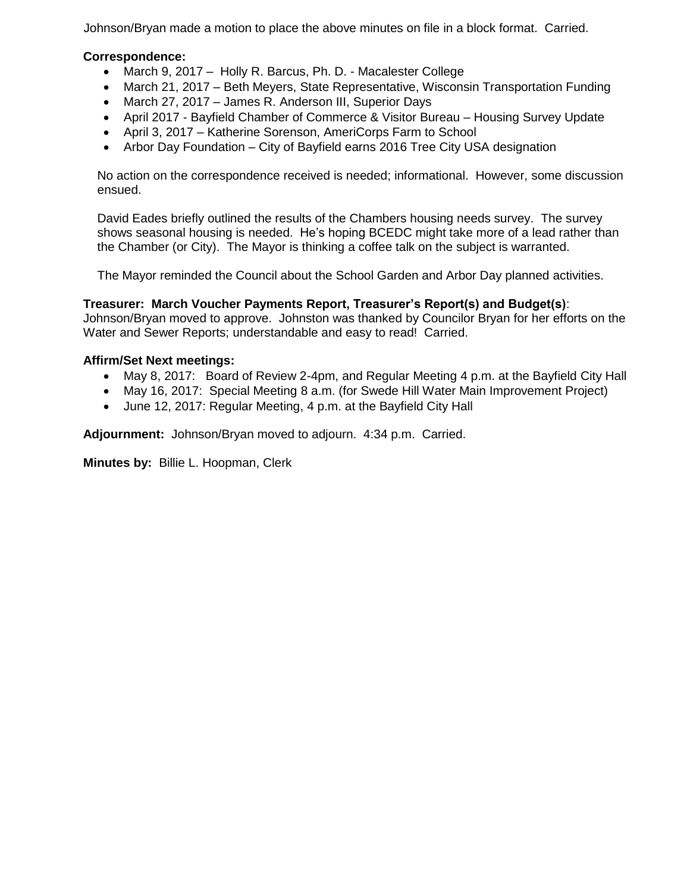Johnson/Bryan made a motion to place the above minutes on file in a block format. Carried.

# **Correspondence:**

- March 9, 2017 Holly R. Barcus, Ph. D. Macalester College
- March 21, 2017 Beth Meyers, State Representative, Wisconsin Transportation Funding
- March 27, 2017 James R. Anderson III, Superior Days
- April 2017 Bayfield Chamber of Commerce & Visitor Bureau Housing Survey Update
- April 3, 2017 Katherine Sorenson, AmeriCorps Farm to School
- Arbor Day Foundation City of Bayfield earns 2016 Tree City USA designation

No action on the correspondence received is needed; informational. However, some discussion ensued.

David Eades briefly outlined the results of the Chambers housing needs survey. The survey shows seasonal housing is needed. He's hoping BCEDC might take more of a lead rather than the Chamber (or City). The Mayor is thinking a coffee talk on the subject is warranted.

The Mayor reminded the Council about the School Garden and Arbor Day planned activities.

# **Treasurer: March Voucher Payments Report, Treasurer's Report(s) and Budget(s)**:

Johnson/Bryan moved to approve. Johnston was thanked by Councilor Bryan for her efforts on the Water and Sewer Reports; understandable and easy to read! Carried.

#### **Affirm/Set Next meetings:**

- May 8, 2017: Board of Review 2-4pm, and Regular Meeting 4 p.m. at the Bayfield City Hall
- May 16, 2017: Special Meeting 8 a.m. (for Swede Hill Water Main Improvement Project)
- June 12, 2017: Regular Meeting, 4 p.m. at the Bayfield City Hall

**Adjournment:** Johnson/Bryan moved to adjourn. 4:34 p.m. Carried.

**Minutes by:** Billie L. Hoopman, Clerk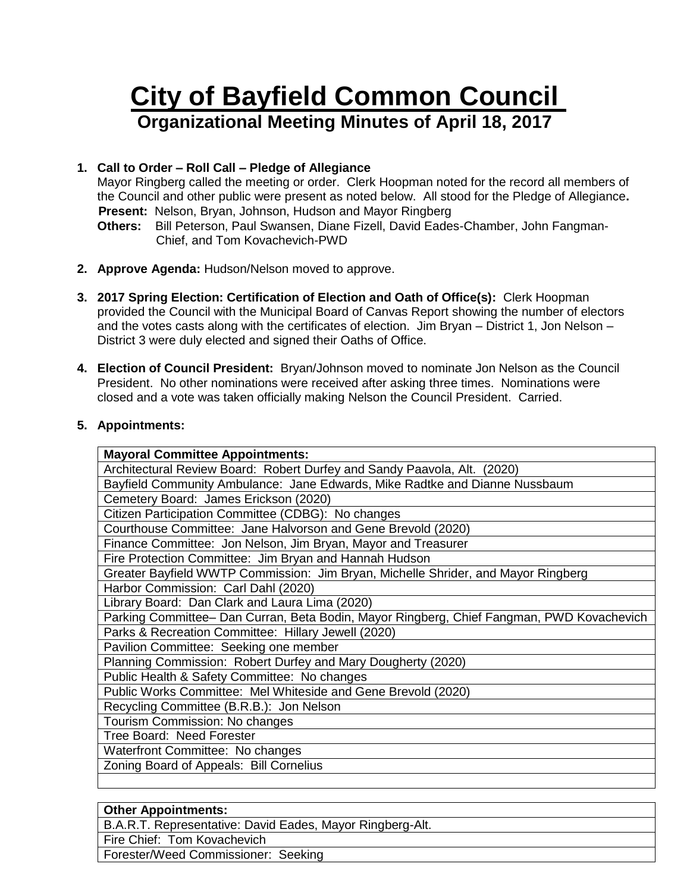# **City of Bayfield Common Council Organizational Meeting Minutes of April 18, 2017**

# **1. Call to Order – Roll Call – Pledge of Allegiance**

Mayor Ringberg called the meeting or order. Clerk Hoopman noted for the record all members of the Council and other public were present as noted below. All stood for the Pledge of Allegiance**. Present:** Nelson, Bryan, Johnson, Hudson and Mayor Ringberg **Others:** Bill Peterson, Paul Swansen, Diane Fizell, David Eades-Chamber, John Fangman-

Chief, and Tom Kovachevich-PWD

- **2. Approve Agenda:** Hudson/Nelson moved to approve.
- **3. 2017 Spring Election: Certification of Election and Oath of Office(s):** Clerk Hoopman provided the Council with the Municipal Board of Canvas Report showing the number of electors and the votes casts along with the certificates of election. Jim Bryan – District 1, Jon Nelson – District 3 were duly elected and signed their Oaths of Office.
- **4. Election of Council President:** Bryan/Johnson moved to nominate Jon Nelson as the Council President. No other nominations were received after asking three times. Nominations were closed and a vote was taken officially making Nelson the Council President. Carried.

# **5. Appointments:**

| <b>Mayoral Committee Appointments:</b>                                                    |
|-------------------------------------------------------------------------------------------|
| Architectural Review Board: Robert Durfey and Sandy Paavola, Alt. (2020)                  |
| Bayfield Community Ambulance: Jane Edwards, Mike Radtke and Dianne Nussbaum               |
| Cemetery Board: James Erickson (2020)                                                     |
| Citizen Participation Committee (CDBG): No changes                                        |
| Courthouse Committee: Jane Halvorson and Gene Brevold (2020)                              |
| Finance Committee: Jon Nelson, Jim Bryan, Mayor and Treasurer                             |
| Fire Protection Committee: Jim Bryan and Hannah Hudson                                    |
| Greater Bayfield WWTP Commission: Jim Bryan, Michelle Shrider, and Mayor Ringberg         |
| Harbor Commission: Carl Dahl (2020)                                                       |
| Library Board: Dan Clark and Laura Lima (2020)                                            |
| Parking Committee- Dan Curran, Beta Bodin, Mayor Ringberg, Chief Fangman, PWD Kovachevich |
| Parks & Recreation Committee: Hillary Jewell (2020)                                       |
| Pavilion Committee: Seeking one member                                                    |
| Planning Commission: Robert Durfey and Mary Dougherty (2020)                              |
| Public Health & Safety Committee: No changes                                              |
| Public Works Committee: Mel Whiteside and Gene Brevold (2020)                             |
| Recycling Committee (B.R.B.): Jon Nelson                                                  |
| Tourism Commission: No changes                                                            |
| Tree Board: Need Forester                                                                 |
| Waterfront Committee: No changes                                                          |
| Zoning Board of Appeals: Bill Cornelius                                                   |
|                                                                                           |

# **Other Appointments:**

B.A.R.T. Representative: David Eades, Mayor Ringberg-Alt. Fire Chief: Tom Kovachevich Forester/Weed Commissioner: Seeking